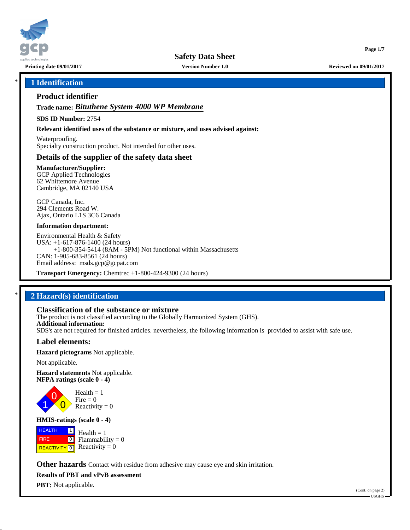

**Safety Data Sheet**

**Printing date 09/01/2017 Version Number 1.0 Reviewed on 09/01/2017**

**Page 1/7**

# \* **1 Identification**

# **Product identifier**

**Trade name:** *Bituthene System 4000 WP Membrane*

**SDS ID Number:** 2754

**Relevant identified uses of the substance or mixture, and uses advised against:**

Waterproofing. Specialty construction product. Not intended for other uses.

## **Details of the supplier of the safety data sheet**

**Manufacturer/Supplier:** GCP Applied Technologies 62 Whittemore Avenue Cambridge, MA 02140 USA

GCP Canada, Inc. 294 Clements Road W. Ajax, Ontario L1S 3C6 Canada

#### **Information department:**

Environmental Health & Safety USA: +1-617-876-1400 (24 hours) +1-800-354-5414 (8AM - 5PM) Not functional within Massachusetts CAN: 1-905-683-8561 (24 hours) Email address: msds.gcp@gcpat.com

**Transport Emergency:** Chemtrec +1-800-424-9300 (24 hours)

# \* **2 Hazard(s) identification**

# **Classification of the substance or mixture**

The product is not classified according to the Globally Harmonized System (GHS). **Additional information:** SDS's are not required for finished articles. nevertheless, the following information is provided to assist with safe use.

### **Label elements:**

**Hazard pictograms** Not applicable.

Not applicable.

1

**Hazard statements** Not applicable. **NFPA ratings (scale 0 - 4)**

> 0  $\overline{\mathbf{0}}$  $Health = 1$  $Fire = 0$ Reactivity  $= 0$

### **HMIS-ratings (scale 0 - 4)**

**HEALTH**  FIRE **REACTIVITY** 0  $\boxed{1}$  $\boxed{0}$  $Health = 1$ Flammability  $= 0$ Reactivity  $= 0$ 

**Other hazards** Contact with residue from adhesive may cause eye and skin irritation.

**Results of PBT and vPvB assessment**

**PBT:** Not applicable.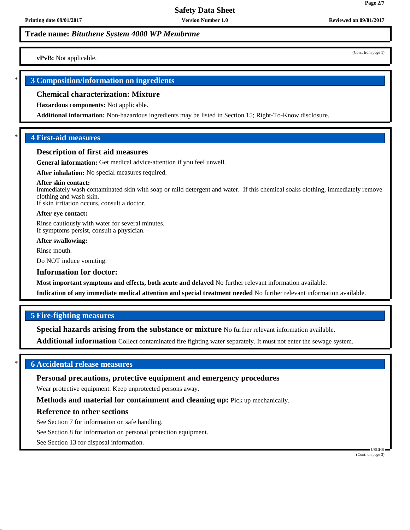**vPvB:** Not applicable.

# \* **3 Composition/information on ingredients**

#### **Chemical characterization: Mixture**

**Hazardous components:** Not applicable.

**Additional information:** Non-hazardous ingredients may be listed in Section 15; Right-To-Know disclosure.

## \* **4 First-aid measures**

### **Description of first aid measures**

**General information:** Get medical advice/attention if you feel unwell.

**After inhalation:** No special measures required.

#### **After skin contact:**

Immediately wash contaminated skin with soap or mild detergent and water. If this chemical soaks clothing, immediately remove clothing and wash skin. If skin irritation occurs, consult a doctor.

#### **After eye contact:**

Rinse cautiously with water for several minutes. If symptoms persist, consult a physician.

#### **After swallowing:**

Rinse mouth.

Do NOT induce vomiting.

#### **Information for doctor:**

**Most important symptoms and effects, both acute and delayed** No further relevant information available.

**Indication of any immediate medical attention and special treatment needed** No further relevant information available.

### **5 Fire-fighting measures**

**Special hazards arising from the substance or mixture** No further relevant information available.

**Additional information** Collect contaminated fire fighting water separately. It must not enter the sewage system.

# \* **6 Accidental release measures**

### **Personal precautions, protective equipment and emergency procedures**

Wear protective equipment. Keep unprotected persons away.

**Methods and material for containment and cleaning up:** Pick up mechanically.

### **Reference to other sections**

See Section 7 for information on safe handling.

See Section 8 for information on personal protection equipment.

See Section 13 for disposal information.

 USGHS (Cont. on page 3)

**Page 2/7**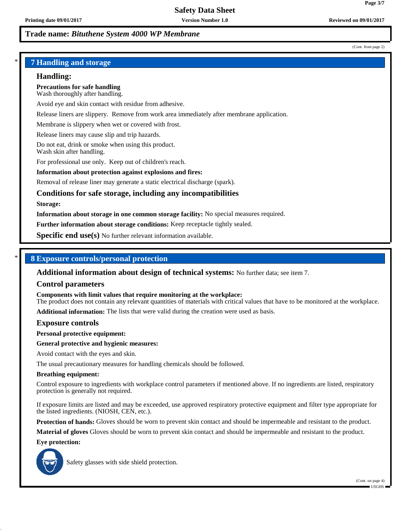(Cont. from page 2)

# \* **7 Handling and storage**

### **Handling:**

**Precautions for safe handling** Wash thoroughly after handling.

Avoid eye and skin contact with residue from adhesive.

Release liners are slippery. Remove from work area immediately after membrane application.

Membrane is slippery when wet or covered with frost.

Release liners may cause slip and trip hazards.

Do not eat, drink or smoke when using this product. Wash skin after handling.

For professional use only. Keep out of children's reach.

### **Information about protection against explosions and fires:**

Removal of release liner may generate a static electrical discharge (spark).

# **Conditions for safe storage, including any incompatibilities**

#### **Storage:**

**Information about storage in one common storage facility:** No special measures required.

**Further information about storage conditions:** Keep receptacle tightly sealed.

**Specific end use(s)** No further relevant information available.

# \* **8 Exposure controls/personal protection**

**Additional information about design of technical systems:** No further data; see item 7.

### **Control parameters**

**Components with limit values that require monitoring at the workplace:**

The product does not contain any relevant quantities of materials with critical values that have to be monitored at the workplace.

**Additional information:** The lists that were valid during the creation were used as basis.

### **Exposure controls**

**Personal protective equipment:**

#### **General protective and hygienic measures:**

Avoid contact with the eyes and skin.

The usual precautionary measures for handling chemicals should be followed.

#### **Breathing equipment:**

Control exposure to ingredients with workplace control parameters if mentioned above. If no ingredients are listed, respiratory protection is generally not required.

If exposure limits are listed and may be exceeded, use approved respiratory protective equipment and filter type appropriate for the listed ingredients. (NIOSH, CEN, etc.).

**Protection of hands:** Gloves should be worn to prevent skin contact and should be impermeable and resistant to the product.

**Material of gloves** Gloves should be worn to prevent skin contact and should be impermeable and resistant to the product.

#### **Eye protection:**



Safety glasses with side shield protection.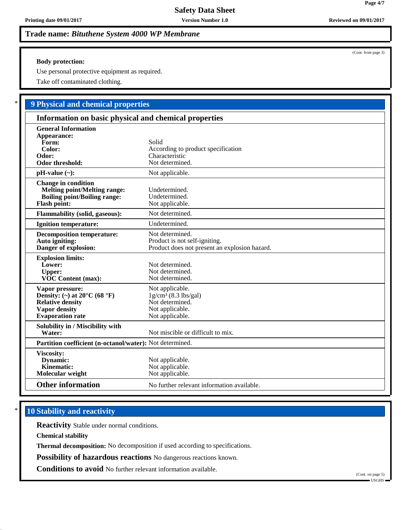# **Body protection:**

Use personal protective equipment as required.

Take off contaminated clothing.

# \* **9 Physical and chemical properties**

| Information on basic physical and chemical properties                                                                                             |                                                                                                    |
|---------------------------------------------------------------------------------------------------------------------------------------------------|----------------------------------------------------------------------------------------------------|
| <b>General Information</b><br>Appearance:<br>Form:<br>Color:<br>Odor:<br>Odor threshold:                                                          | Solid<br>According to product specification<br>Characteristic<br>Not determined.                   |
| $pH-value$ (~):                                                                                                                                   | Not applicable.                                                                                    |
| <b>Change in condition</b><br><b>Melting point/Melting range:</b><br><b>Boiling point/Boiling range:</b><br><b>Flash point:</b>                   | Undetermined.<br>Undetermined.<br>Not applicable.                                                  |
| <b>Flammability (solid, gaseous):</b>                                                                                                             | Not determined.                                                                                    |
| Ignition temperature:                                                                                                                             | Undetermined.                                                                                      |
| <b>Decomposition temperature:</b><br>Auto igniting:<br>Danger of explosion:                                                                       | Not determined.<br>Product is not self-igniting.<br>Product does not present an explosion hazard.  |
| <b>Explosion limits:</b><br>Lower:<br><b>Upper:</b><br>VOC Content (max):                                                                         | Not determined.<br>Not determined.<br>Not determined.                                              |
| Vapor pressure:<br>Density: (~) at $20^{\circ}$ C (68 $^{\circ}$ F)<br><b>Relative density</b><br><b>Vapor density</b><br><b>Evaporation</b> rate | Not applicable.<br>$1g/cm3$ (8.3 lbs/gal)<br>Not determined.<br>Not applicable.<br>Not applicable. |
| Solubility in / Miscibility with<br>Water:                                                                                                        | Not miscible or difficult to mix.                                                                  |
| Partition coefficient (n-octanol/water): Not determined.                                                                                          |                                                                                                    |
| Viscosity:<br><b>Dynamic:</b><br>Kinematic:<br>Molecular weight                                                                                   | Not applicable.<br>Not applicable.<br>Not applicable.                                              |
| <b>Other information</b>                                                                                                                          | No further relevant information available.                                                         |

# **10 Stability and reactivity**

**Reactivity** Stable under normal conditions.

**Chemical stability**

**Thermal decomposition:** No decomposition if used according to specifications.

**Possibility of hazardous reactions** No dangerous reactions known.

**Conditions to avoid** No further relevant information available.

(Cont. on page 5)

USGHS

(Cont. from page 3)

**Page 4/7**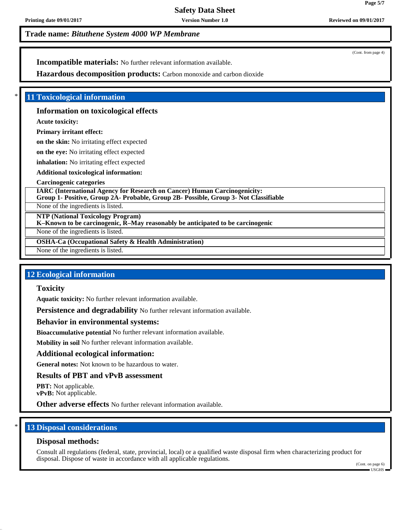(Cont. from page 4)

**Page 5/7**

**Incompatible materials:** No further relevant information available.

**Hazardous decomposition products:** Carbon monoxide and carbon dioxide

## **11 Toxicological information**

### **Information on toxicological effects**

**Acute toxicity:**

## **Primary irritant effect:**

**on the skin:** No irritating effect expected

**on the eye:** No irritating effect expected

**inhalation:** No irritating effect expected

**Additional toxicological information:**

### **Carcinogenic categories**

**IARC (International Agency for Research on Cancer) Human Carcinogenicity: Group 1- Positive, Group 2A- Probable, Group 2B- Possible, Group 3- Not Classifiable**

None of the ingredients is listed.

**NTP (National Toxicology Program)**

**K–Known to be carcinogenic, R–May reasonably be anticipated to be carcinogenic**

None of the ingredients is listed.

**OSHA-Ca (Occupational Safety & Health Administration)**

None of the ingredients is listed.

## **12 Ecological information**

## **Toxicity**

**Aquatic toxicity:** No further relevant information available.

**Persistence and degradability** No further relevant information available.

### **Behavior in environmental systems:**

**Bioaccumulative potential** No further relevant information available.

**Mobility in soil** No further relevant information available.

### **Additional ecological information:**

**General notes:** Not known to be hazardous to water.

## **Results of PBT and vPvB assessment**

**PBT:** Not applicable. **vPvB:** Not applicable.

**Other adverse effects** No further relevant information available.

# **13 Disposal considerations**

### **Disposal methods:**

Consult all regulations (federal, state, provincial, local) or a qualified waste disposal firm when characterizing product for disposal. Dispose of waste in accordance with all applicable regulations.

(Cont. on page 6) USGHS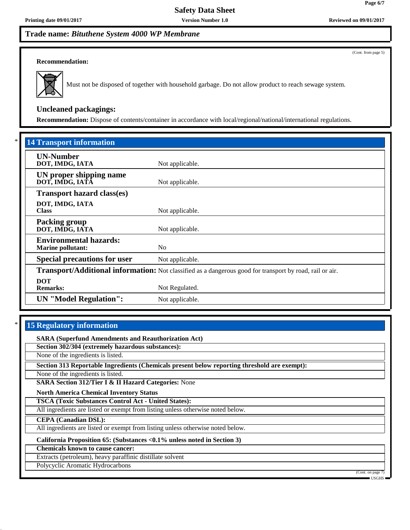(Cont. from page 5)

**Page 6/7**

### **Recommendation:**



Must not be disposed of together with household garbage. Do not allow product to reach sewage system.

# **Uncleaned packagings:**

**Recommendation:** Dispose of contents/container in accordance with local/regional/national/international regulations.

| <b>14 Transport information</b>                           |                                                                                                          |
|-----------------------------------------------------------|----------------------------------------------------------------------------------------------------------|
| <b>UN-Number</b><br>DOT, IMDG, IATA                       | Not applicable.                                                                                          |
| UN proper shipping name<br>DOT, IMDG, IATA                | Not applicable.                                                                                          |
| <b>Transport hazard class(es)</b>                         |                                                                                                          |
| DOT, IMDG, IATA<br><b>Class</b>                           | Not applicable.                                                                                          |
| <b>Packing group</b><br>DOT, IMDG, IATA                   | Not applicable.                                                                                          |
| <b>Environmental hazards:</b><br><b>Marine pollutant:</b> | N <sub>0</sub>                                                                                           |
| <b>Special precautions for user</b>                       | Not applicable.                                                                                          |
|                                                           | Transport/Additional information: Not classified as a dangerous good for transport by road, rail or air. |
| <b>DOT</b><br><b>Remarks:</b>                             | Not Regulated.                                                                                           |
| <b>UN</b> "Model Regulation":                             | Not applicable.                                                                                          |

# **15 Regulatory information**

**SARA (Superfund Amendments and Reauthorization Act)**

**Section 302/304 (extremely hazardous substances):**

None of the ingredients is listed.

**Section 313 Reportable Ingredients (Chemicals present below reporting threshold are exempt):**

None of the ingredients is listed.

**SARA Section 312/Tier I & II Hazard Categories:** None

**North America Chemical Inventory Status**

**TSCA (Toxic Substances Control Act - United States):**

All ingredients are listed or exempt from listing unless otherwise noted below.

**CEPA (Canadian DSL):**

All ingredients are listed or exempt from listing unless otherwise noted below.

**California Proposition 65: (Substances <0.1% unless noted in Section 3)**

**Chemicals known to cause cancer:**

Extracts (petroleum), heavy paraffinic distillate solvent

Polycyclic Aromatic Hydrocarbons

(Cont. on page